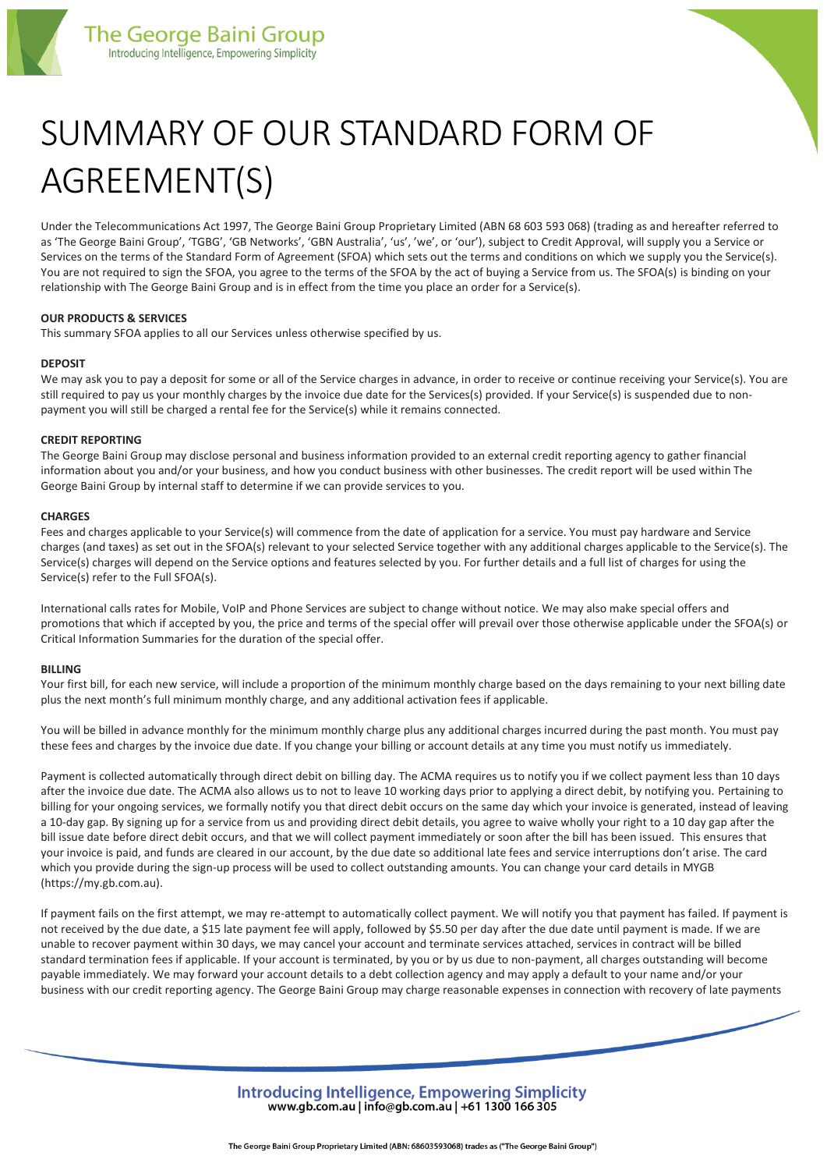

# SUMMARY OF OUR STANDARD FORM OF AGREEMENT(S)

Under the Telecommunications Act 1997, The George Baini Group Proprietary Limited (ABN 68 603 593 068) (trading as and hereafter referred to as 'The George Baini Group', 'TGBG', 'GB Networks', 'GBN Australia', 'us', 'we', or 'our'), subject to Credit Approval, will supply you a Service or Services on the terms of the Standard Form of Agreement (SFOA) which sets out the terms and conditions on which we supply you the Service(s). You are not required to sign the SFOA, you agree to the terms of the SFOA by the act of buying a Service from us. The SFOA(s) is binding on your relationship with The George Baini Group and is in effect from the time you place an order for a Service(s).

# **OUR PRODUCTS & SERVICES**

This summary SFOA applies to all our Services unless otherwise specified by us.

## **DEPOSIT**

We may ask you to pay a deposit for some or all of the Service charges in advance, in order to receive or continue receiving your Service(s). You are still required to pay us your monthly charges by the invoice due date for the Services(s) provided. If your Service(s) is suspended due to nonpayment you will still be charged a rental fee for the Service(s) while it remains connected.

## **CREDIT REPORTING**

The George Baini Group may disclose personal and business information provided to an external credit reporting agency to gather financial information about you and/or your business, and how you conduct business with other businesses. The credit report will be used within The George Baini Group by internal staff to determine if we can provide services to you.

## **CHARGES**

Fees and charges applicable to your Service(s) will commence from the date of application for a service. You must pay hardware and Service charges (and taxes) as set out in the SFOA(s) relevant to your selected Service together with any additional charges applicable to the Service(s). The Service(s) charges will depend on the Service options and features selected by you. For further details and a full list of charges for using the Service(s) refer to the Full SFOA(s).

International calls rates for Mobile, VoIP and Phone Services are subject to change without notice. We may also make special offers and promotions that which if accepted by you, the price and terms of the special offer will prevail over those otherwise applicable under the SFOA(s) or Critical Information Summaries for the duration of the special offer.

## **BILLING**

Your first bill, for each new service, will include a proportion of the minimum monthly charge based on the days remaining to your next billing date plus the next month's full minimum monthly charge, and any additional activation fees if applicable.

You will be billed in advance monthly for the minimum monthly charge plus any additional charges incurred during the past month. You must pay these fees and charges by the invoice due date. If you change your billing or account details at any time you must notify us immediately.

Payment is collected automatically through direct debit on billing day. The ACMA requires us to notify you if we collect payment less than 10 days after the invoice due date. The ACMA also allows us to not to leave 10 working days prior to applying a direct debit, by notifying you. Pertaining to billing for your ongoing services, we formally notify you that direct debit occurs on the same day which your invoice is generated, instead of leaving a 10-day gap. By signing up for a service from us and providing direct debit details, you agree to waive wholly your right to a 10 day gap after the bill issue date before direct debit occurs, and that we will collect payment immediately or soon after the bill has been issued. This ensures that your invoice is paid, and funds are cleared in our account, by the due date so additional late fees and service interruptions don't arise. The card which you provide during the sign-up process will be used to collect outstanding amounts. You can change your card details in MYGB (https://my.gb.com.au).

If payment fails on the first attempt, we may re-attempt to automatically collect payment. We will notify you that payment has failed. If payment is not received by the due date, a \$15 late payment fee will apply, followed by \$5.50 per day after the due date until payment is made. If we are unable to recover payment within 30 days, we may cancel your account and terminate services attached, services in contract will be billed standard termination fees if applicable. If your account is terminated, by you or by us due to non-payment, all charges outstanding will become payable immediately. We may forward your account details to a debt collection agency and may apply a default to your name and/or your business with our credit reporting agency. The George Baini Group may charge reasonable expenses in connection with recovery of late payments

> Introducina Intelligence, Empowering Simplicity www.gb.com.au | info@gb.com.au | +61 1300 166 305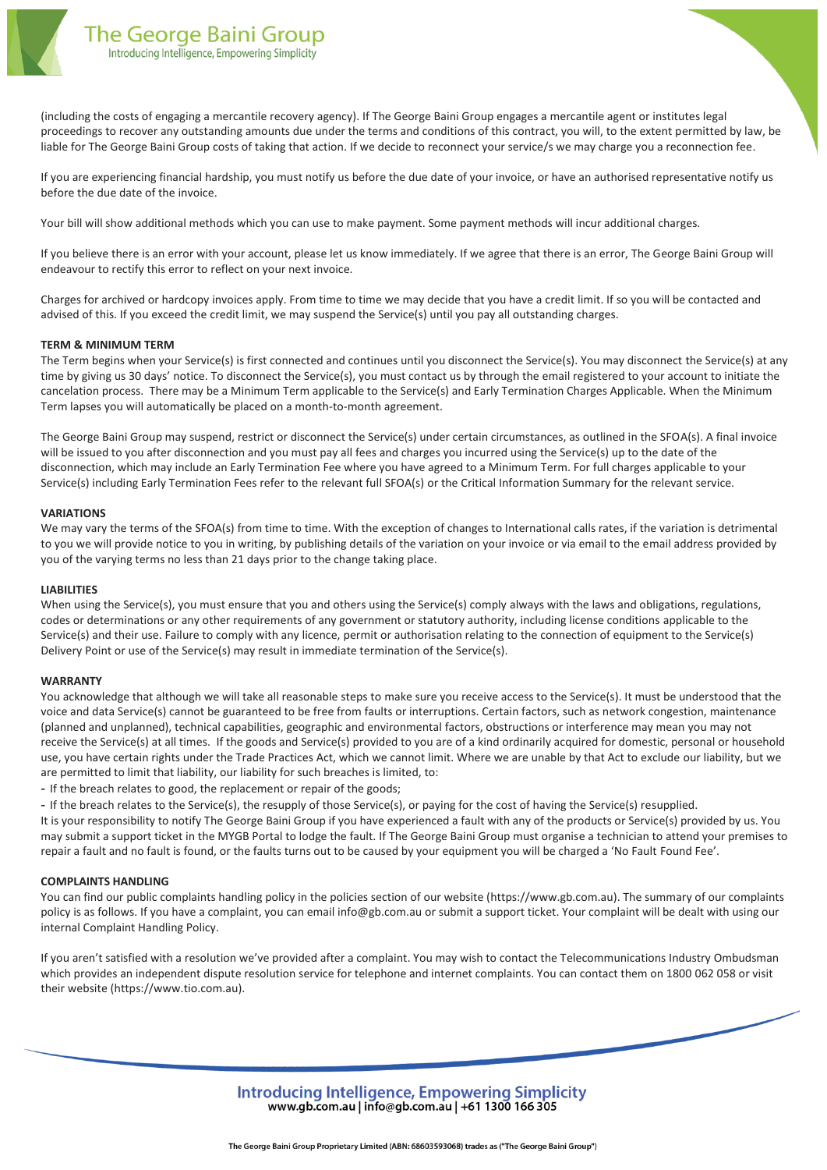

(including the costs of engaging a mercantile recovery agency). If The George Baini Group engages a mercantile agent or institutes legal proceedings to recover any outstanding amounts due under the terms and conditions of this contract, you will, to the extent permitted by law, be liable for The George Baini Group costs of taking that action. If we decide to reconnect your service/s we may charge you a reconnection fee.

If you are experiencing financial hardship, you must notify us before the due date of your invoice, or have an authorised representative notify us before the due date of the invoice.

Your bill will show additional methods which you can use to make payment. Some payment methods will incur additional charges.

If you believe there is an error with your account, please let us know immediately. If we agree that there is an error, The George Baini Group will endeavour to rectify this error to reflect on your next invoice.

Charges for archived or hardcopy invoices apply. From time to time we may decide that you have a credit limit. If so you will be contacted and advised of this. If you exceed the credit limit, we may suspend the Service(s) until you pay all outstanding charges.

## **TERM & MINIMUM TERM**

The Term begins when your Service(s) is first connected and continues until you disconnect the Service(s). You may disconnect the Service(s) at any time by giving us 30 days' notice. To disconnect the Service(s), you must contact us by through the email registered to your account to initiate the cancelation process. There may be a Minimum Term applicable to the Service(s) and Early Termination Charges Applicable. When the Minimum Term lapses you will automatically be placed on a month-to-month agreement.

The George Baini Group may suspend, restrict or disconnect the Service(s) under certain circumstances, as outlined in the SFOA(s). A final invoice will be issued to you after disconnection and you must pay all fees and charges you incurred using the Service(s) up to the date of the disconnection, which may include an Early Termination Fee where you have agreed to a Minimum Term. For full charges applicable to your Service(s) including Early Termination Fees refer to the relevant full SFOA(s) or the Critical Information Summary for the relevant service.

#### **VARIATIONS**

We may vary the terms of the SFOA(s) from time to time. With the exception of changes to International calls rates, if the variation is detrimental to you we will provide notice to you in writing, by publishing details of the variation on your invoice or via email to the email address provided by you of the varying terms no less than 21 days prior to the change taking place.

#### **LIABILITIES**

When using the Service(s), you must ensure that you and others using the Service(s) comply always with the laws and obligations, regulations, codes or determinations or any other requirements of any government or statutory authority, including license conditions applicable to the Service(s) and their use. Failure to comply with any licence, permit or authorisation relating to the connection of equipment to the Service(s) Delivery Point or use of the Service(s) may result in immediate termination of the Service(s).

#### **WARRANTY**

You acknowledge that although we will take all reasonable steps to make sure you receive access to the Service(s). It must be understood that the voice and data Service(s) cannot be guaranteed to be free from faults or interruptions. Certain factors, such as network congestion, maintenance (planned and unplanned), technical capabilities, geographic and environmental factors, obstructions or interference may mean you may not receive the Service(s) at all times. If the goods and Service(s) provided to you are of a kind ordinarily acquired for domestic, personal or household use, you have certain rights under the Trade Practices Act, which we cannot limit. Where we are unable by that Act to exclude our liability, but we are permitted to limit that liability, our liability for such breaches is limited, to:

- If the breach relates to good, the replacement or repair of the goods;

- If the breach relates to the Service(s), the resupply of those Service(s), or paying for the cost of having the Service(s) resupplied.

It is your responsibility to notify The George Baini Group if you have experienced a fault with any of the products or Service(s) provided by us. You may submit a support ticket in the MYGB Portal to lodge the fault. If The George Baini Group must organise a technician to attend your premises to repair a fault and no fault is found, or the faults turns out to be caused by your equipment you will be charged a 'No Fault Found Fee'.

#### **COMPLAINTS HANDLING**

You can find our public complaints handling policy in the policies section of our website (https://www.gb.com.au). The summary of our complaints policy is as follows. If you have a complaint, you can email info@gb.com.au or submit a support ticket. Your complaint will be dealt with using our internal Complaint Handling Policy.

If you aren't satisfied with a resolution we've provided after a complaint. You may wish to contact the Telecommunications Industry Ombudsman which provides an independent dispute resolution service for telephone and internet complaints. You can contact them on 1800 062 058 or visit their website (https://www.tio.com.au).

> Introducina Intelligence, Empowering Simplicity www.gb.com.au | info@gb.com.au | +61 1300 166 305